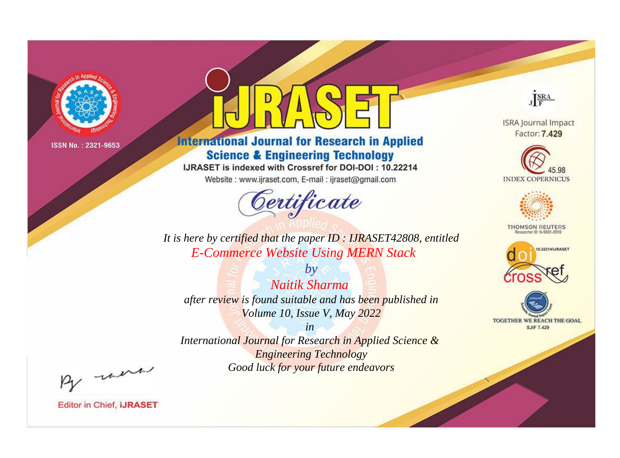

# **International Journal for Research in Applied Science & Engineering Technology**

IJRASET is indexed with Crossref for DOI-DOI: 10.22214

Website: www.ijraset.com, E-mail: ijraset@gmail.com



JERA

**ISRA Journal Impact** Factor: 7.429





**THOMSON REUTERS** 



TOGETHER WE REACH THE GOAL **SJIF 7.429** 

*It is here by certified that the paper ID : IJRASET42808, entitled E-Commerce Website Using MERN Stack*

*by Naitik Sharma after review is found suitable and has been published in Volume 10, Issue V, May 2022*

*in* 

*International Journal for Research in Applied Science & Engineering Technology Good luck for your future endeavors*

By morn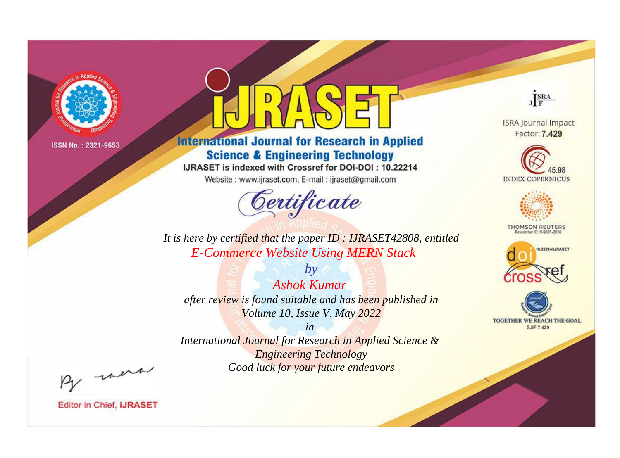

# **International Journal for Research in Applied Science & Engineering Technology**

IJRASET is indexed with Crossref for DOI-DOI: 10.22214

Website: www.ijraset.com, E-mail: ijraset@gmail.com



JERA

**ISRA Journal Impact** Factor: 7.429





**THOMSON REUTERS** 



TOGETHER WE REACH THE GOAL **SJIF 7.429** 

*It is here by certified that the paper ID : IJRASET42808, entitled E-Commerce Website Using MERN Stack*

*Ashok Kumar after review is found suitable and has been published in Volume 10, Issue V, May 2022*

*by*

*in* 

*International Journal for Research in Applied Science & Engineering Technology Good luck for your future endeavors*

By morn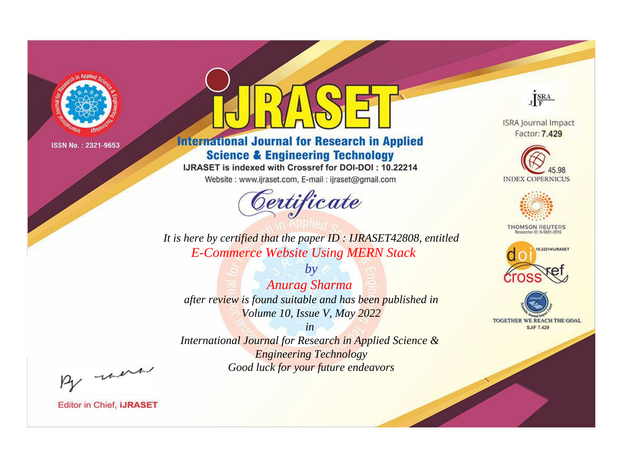

# **International Journal for Research in Applied Science & Engineering Technology**

IJRASET is indexed with Crossref for DOI-DOI: 10.22214

Website: www.ijraset.com, E-mail: ijraset@gmail.com



JERA

**ISRA Journal Impact** Factor: 7.429





**THOMSON REUTERS** 



TOGETHER WE REACH THE GOAL **SJIF 7.429** 

*It is here by certified that the paper ID : IJRASET42808, entitled E-Commerce Website Using MERN Stack*

*by Anurag Sharma after review is found suitable and has been published in Volume 10, Issue V, May 2022*

*in* 

*International Journal for Research in Applied Science & Engineering Technology Good luck for your future endeavors*

By morn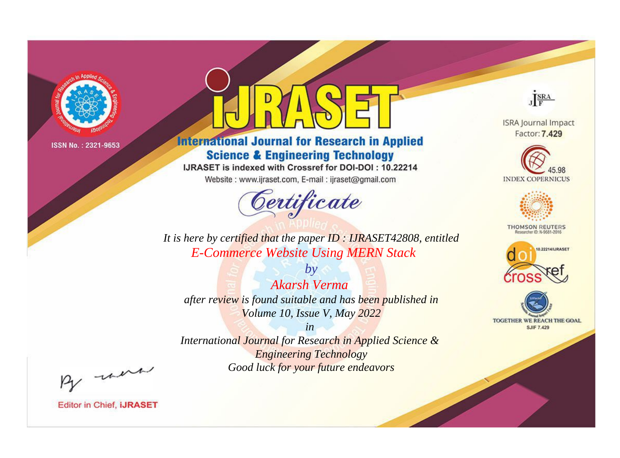

# **International Journal for Research in Applied Science & Engineering Technology**

IJRASET is indexed with Crossref for DOI-DOI: 10.22214

Website: www.ijraset.com, E-mail: ijraset@gmail.com



JERA

**ISRA Journal Impact** Factor: 7.429





**THOMSON REUTERS** 



TOGETHER WE REACH THE GOAL **SJIF 7.429** 

*It is here by certified that the paper ID : IJRASET42808, entitled E-Commerce Website Using MERN Stack*

*by Akarsh Verma after review is found suitable and has been published in Volume 10, Issue V, May 2022*

*in* 

*International Journal for Research in Applied Science & Engineering Technology Good luck for your future endeavors*

By morn